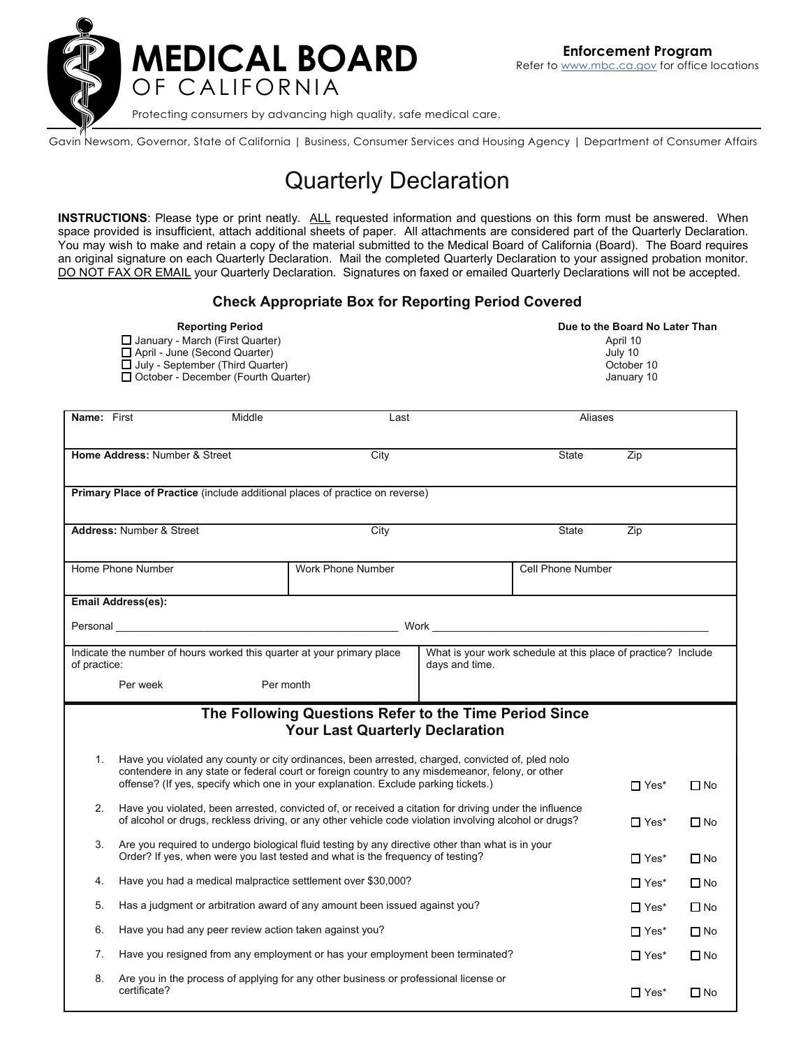

Gavin Newsom, Governor, State of California | Business, Consumer Services and Housing Agency | Department of Consumer Affairs

## Quarterly Declaration

**INSTRUCTIONS**: Please type or print neatly. ALL requested information and questions on this form must be answered. When space provided is insufficient, attach additional sheets of paper. All attachments are considered part of the Quarterly Declaration. You may wish to make and retain a copy of the material submitted to the Medical Board of California (Board). The Board requires an original signature on each Quarterly Declaration. Mail the completed Quarterly Declaration to your assigned probation monitor. DO NOT FAX OR EMAIL your Quarterly Declaration. Signatures on faxed or emailed Quarterly Declarations will not be accepted.

## **Check Appropriate Box for Reporting Period Covered**

| <b>Reporting Period</b>                    | Due to the Board No Later Than |  |  |
|--------------------------------------------|--------------------------------|--|--|
| $\Box$ January - March (First Quarter)     | April 10                       |  |  |
| □ April - June (Second Quarter)            | July 10                        |  |  |
| July - September (Third Quarter)           | October 10                     |  |  |
| $\Box$ October - December (Fourth Quarter) | January 10                     |  |  |
|                                            |                                |  |  |

| Name: First                                                                                      |                                                                                                                                                                                                                                                                                                           | Middle    | Last                                                                                 |                                                               | Aliases                  |              |              |  |
|--------------------------------------------------------------------------------------------------|-----------------------------------------------------------------------------------------------------------------------------------------------------------------------------------------------------------------------------------------------------------------------------------------------------------|-----------|--------------------------------------------------------------------------------------|---------------------------------------------------------------|--------------------------|--------------|--------------|--|
|                                                                                                  | Home Address: Number & Street                                                                                                                                                                                                                                                                             |           | City                                                                                 |                                                               | <b>State</b>             | Zip          |              |  |
| Primary Place of Practice (include additional places of practice on reverse)                     |                                                                                                                                                                                                                                                                                                           |           |                                                                                      |                                                               |                          |              |              |  |
|                                                                                                  | <b>Address: Number &amp; Street</b>                                                                                                                                                                                                                                                                       |           | City                                                                                 |                                                               | State                    | Zip          |              |  |
|                                                                                                  | Home Phone Number                                                                                                                                                                                                                                                                                         |           | Work Phone Number                                                                    |                                                               | <b>Cell Phone Number</b> |              |              |  |
|                                                                                                  | <b>Email Address(es):</b>                                                                                                                                                                                                                                                                                 |           |                                                                                      |                                                               |                          |              |              |  |
|                                                                                                  |                                                                                                                                                                                                                                                                                                           |           |                                                                                      |                                                               |                          |              |              |  |
| Indicate the number of hours worked this quarter at your primary place<br>of practice:           |                                                                                                                                                                                                                                                                                                           |           | days and time.                                                                       | What is your work schedule at this place of practice? Include |                          |              |              |  |
|                                                                                                  | Per week                                                                                                                                                                                                                                                                                                  | Per month |                                                                                      |                                                               |                          |              |              |  |
| The Following Questions Refer to the Time Period Since<br><b>Your Last Quarterly Declaration</b> |                                                                                                                                                                                                                                                                                                           |           |                                                                                      |                                                               |                          |              |              |  |
| 1.                                                                                               | Have you violated any county or city ordinances, been arrested, charged, convicted of, pled nolo<br>contendere in any state or federal court or foreign country to any misdemeanor, felony, or other<br>offense? (If yes, specify which one in your explanation. Exclude parking tickets.)<br>$\Box$ Yes* |           |                                                                                      |                                                               |                          | $\square$ No |              |  |
| 2.                                                                                               | Have you violated, been arrested, convicted of, or received a citation for driving under the influence<br>of alcohol or drugs, reckless driving, or any other vehicle code violation involving alcohol or drugs?                                                                                          |           |                                                                                      | $\Box$ Yes*                                                   | $\Box$ No                |              |              |  |
| 3.                                                                                               | Are you required to undergo biological fluid testing by any directive other than what is in your<br>Order? If yes, when were you last tested and what is the frequency of testing?                                                                                                                        |           |                                                                                      | $\Box$ Yes*                                                   | $\Box$ No                |              |              |  |
| 4.                                                                                               | Have you had a medical malpractice settlement over \$30,000?                                                                                                                                                                                                                                              |           |                                                                                      |                                                               | $\prod Y$ es*            | $\Box$ No    |              |  |
| 5.                                                                                               | Has a judgment or arbitration award of any amount been issued against you?                                                                                                                                                                                                                                |           |                                                                                      |                                                               | $\Box$ Yes*              | $\square$ No |              |  |
| 6.                                                                                               | Have you had any peer review action taken against you?                                                                                                                                                                                                                                                    |           |                                                                                      |                                                               | $\Box$ Yes*              | $\Box$ No    |              |  |
| 7.                                                                                               | Have you resigned from any employment or has your employment been terminated?                                                                                                                                                                                                                             |           |                                                                                      | $\Box$ Yes <sup>*</sup>                                       | $\Box$ No                |              |              |  |
| 8.                                                                                               | certificate?                                                                                                                                                                                                                                                                                              |           | Are you in the process of applying for any other business or professional license or |                                                               |                          | $\Box$ Yes*  | $\square$ No |  |